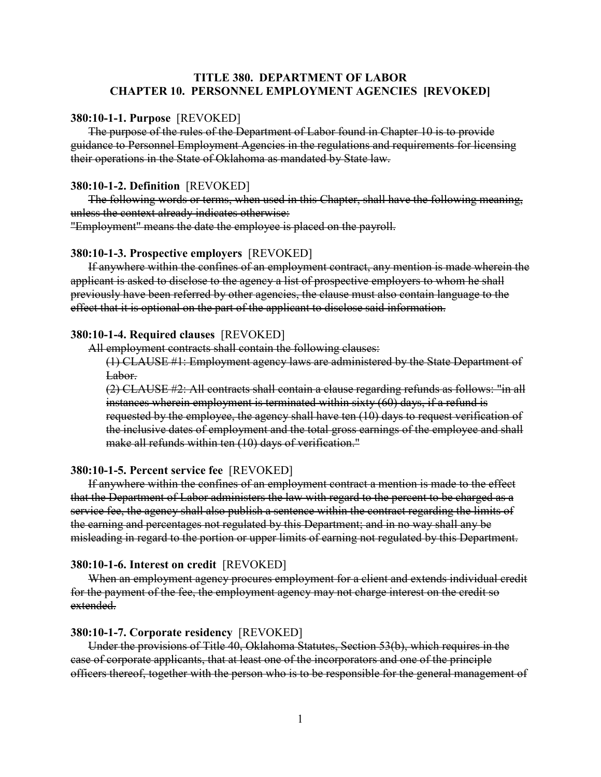# **TITLE 380. DEPARTMENT OF LABOR CHAPTER 10. PERSONNEL EMPLOYMENT AGENCIES [REVOKED]**

## **380:10-1-1. Purpose** [REVOKED]

The purpose of the rules of the Department of Labor found in Chapter 10 is to provide guidance to Personnel Employment Agencies in the regulations and requirements for licensing their operations in the State of Oklahoma as mandated by State law.

## **380:10-1-2. Definition** [REVOKED]

The following words or terms, when used in this Chapter, shall have the following meaning, unless the context already indicates otherwise:

"Employment" means the date the employee is placed on the payroll.

## **380:10-1-3. Prospective employers** [REVOKED]

If anywhere within the confines of an employment contract, any mention is made wherein the applicant is asked to disclose to the agency a list of prospective employers to whom he shall previously have been referred by other agencies, the clause must also contain language to the effect that it is optional on the part of the applicant to disclose said information.

### **380:10-1-4. Required clauses** [REVOKED]

All employment contracts shall contain the following clauses:

(1) CLAUSE #1: Employment agency laws are administered by the State Department of Labor.

(2) CLAUSE #2: All contracts shall contain a clause regarding refunds as follows: "in all instances wherein employment is terminated within sixty (60) days, if a refund is requested by the employee, the agency shall have ten (10) days to request verification of the inclusive dates of employment and the total gross earnings of the employee and shall make all refunds within ten (10) days of verification."

## **380:10-1-5. Percent service fee** [REVOKED]

If anywhere within the confines of an employment contract a mention is made to the effect that the Department of Labor administers the law with regard to the percent to be charged as a service fee, the agency shall also publish a sentence within the contract regarding the limits of the earning and percentages not regulated by this Department; and in no way shall any be misleading in regard to the portion or upper limits of earning not regulated by this Department.

#### **380:10-1-6. Interest on credit** [REVOKED]

When an employment agency procures employment for a client and extends individual credit for the payment of the fee, the employment agency may not charge interest on the credit so extended.

## **380:10-1-7. Corporate residency** [REVOKED]

Under the provisions of Title 40, Oklahoma Statutes, Section 53(b), which requires in the case of corporate applicants, that at least one of the incorporators and one of the principle officers thereof, together with the person who is to be responsible for the general management of